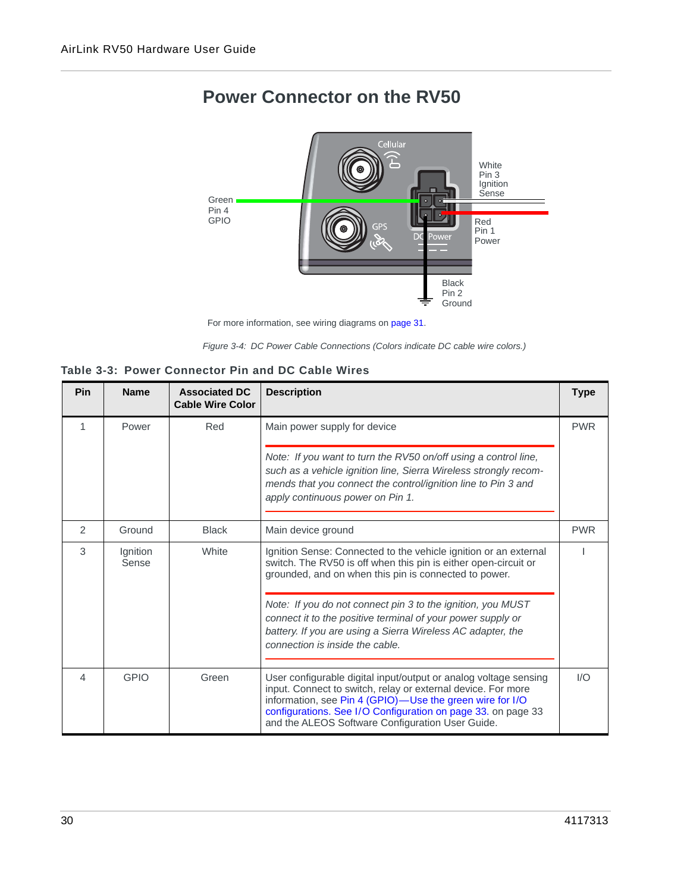

# **Power Connector on the RV50**



*Figure 3-4: DC Power Cable Connections (Colors indicate DC cable wire colors.)*

| Table 3-3: Power Connector Pin and DC Cable Wires |
|---------------------------------------------------|
|---------------------------------------------------|

| Pin            | <b>Name</b>       | <b>Associated DC</b><br><b>Cable Wire Color</b> | <b>Description</b>                                                                                                                                                                                                                                                                                               | <b>Type</b> |
|----------------|-------------------|-------------------------------------------------|------------------------------------------------------------------------------------------------------------------------------------------------------------------------------------------------------------------------------------------------------------------------------------------------------------------|-------------|
| 1              | Power             | Red                                             | Main power supply for device                                                                                                                                                                                                                                                                                     | <b>PWR</b>  |
|                |                   |                                                 | Note: If you want to turn the RV50 on/off using a control line,<br>such as a vehicle ignition line, Sierra Wireless strongly recom-<br>mends that you connect the control/ignition line to Pin 3 and<br>apply continuous power on Pin 1.                                                                         |             |
| $\overline{2}$ | Ground            | <b>Black</b>                                    | Main device ground                                                                                                                                                                                                                                                                                               | <b>PWR</b>  |
| 3              | Ignition<br>Sense | White                                           | Ignition Sense: Connected to the vehicle ignition or an external<br>switch. The RV50 is off when this pin is either open-circuit or<br>grounded, and on when this pin is connected to power.                                                                                                                     |             |
|                |                   |                                                 | Note: If you do not connect pin 3 to the ignition, you MUST<br>connect it to the positive terminal of your power supply or<br>battery. If you are using a Sierra Wireless AC adapter, the<br>connection is inside the cable.                                                                                     |             |
| 4              | <b>GPIO</b>       | Green                                           | User configurable digital input/output or analog voltage sensing<br>input. Connect to switch, relay or external device. For more<br>information, see Pin 4 (GPIO)-Use the green wire for I/O<br>configurations. See I/O Configuration on page 33. on page 33<br>and the ALEOS Software Configuration User Guide. | 1/O         |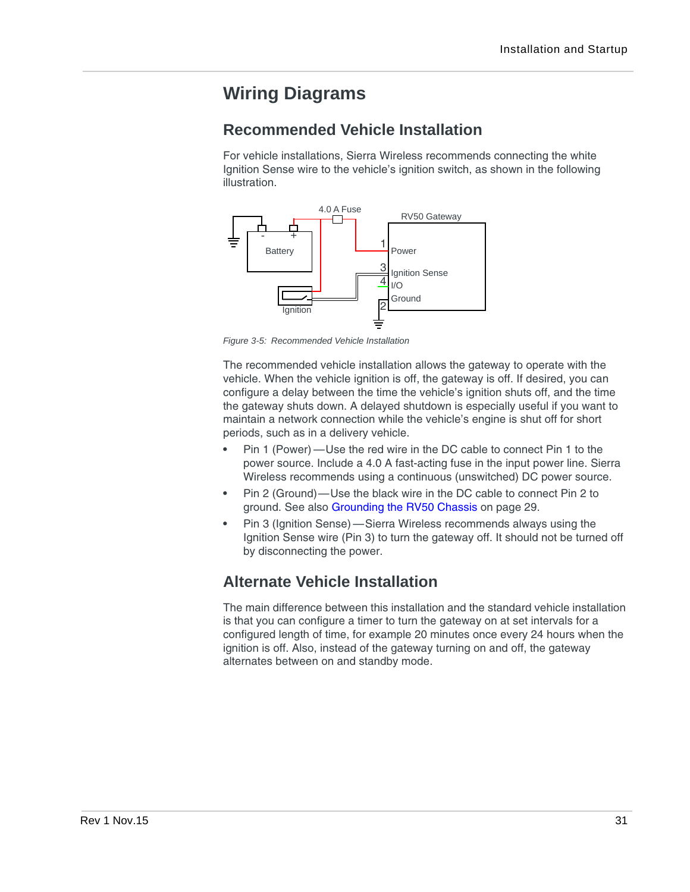# <span id="page-1-0"></span>**Wiring Diagrams**

### **Recommended Vehicle Installation**

For vehicle installations, Sierra Wireless recommends connecting the white Ignition Sense wire to the vehicle's ignition switch, as shown in the following illustration.



*Figure 3-5: Recommended Vehicle Installation*

The recommended vehicle installation allows the gateway to operate with the vehicle. When the vehicle ignition is off, the gateway is off. If desired, you can configure a delay between the time the vehicle's ignition shuts off, and the time the gateway shuts down. A delayed shutdown is especially useful if you want to maintain a network connection while the vehicle's engine is shut off for short periods, such as in a delivery vehicle.

- **•** Pin 1 (Power) —Use the red wire in the DC cable to connect Pin 1 to the power source. Include a 4.0 A fast-acting fuse in the input power line. Sierra Wireless recommends using a continuous (unswitched) DC power source.
- **•** Pin 2 (Ground)—Use the black wire in the DC cable to connect Pin 2 to ground. See also [Grounding the RV50 Chassis on page 29.](#page--1-0)
- **•** Pin 3 (Ignition Sense) —Sierra Wireless recommends always using the Ignition Sense wire (Pin 3) to turn the gateway off. It should not be turned off by disconnecting the power.

## **Alternate Vehicle Installation**

The main difference between this installation and the standard vehicle installation is that you can configure a timer to turn the gateway on at set intervals for a configured length of time, for example 20 minutes once every 24 hours when the ignition is off. Also, instead of the gateway turning on and off, the gateway alternates between on and standby mode.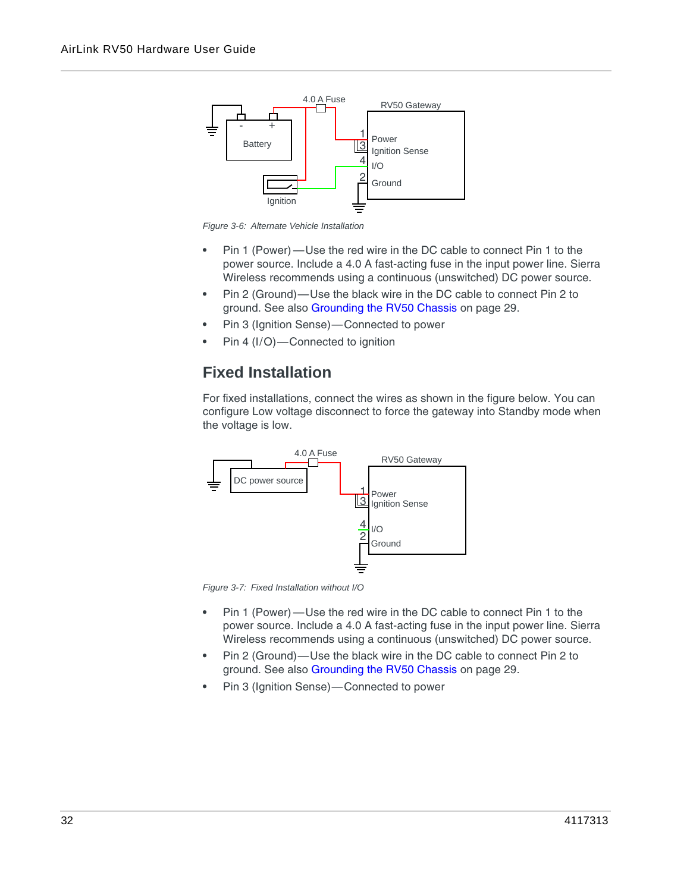

*Figure 3-6: Alternate Vehicle Installation*

- **•** Pin 1 (Power) —Use the red wire in the DC cable to connect Pin 1 to the power source. Include a 4.0 A fast-acting fuse in the input power line. Sierra Wireless recommends using a continuous (unswitched) DC power source.
- **•** Pin 2 (Ground)—Use the black wire in the DC cable to connect Pin 2 to ground. See also [Grounding the RV50 Chassis on page 29.](#page--1-0)
- **•** Pin 3 (Ignition Sense)—Connected to power
- **•** Pin 4 (I/O)—Connected to ignition

## **Fixed Installation**

For fixed installations, connect the wires as shown in the figure below. You can configure Low voltage disconnect to force the gateway into Standby mode when the voltage is low.



*Figure 3-7: Fixed Installation without I/O*

- **•** Pin 1 (Power) —Use the red wire in the DC cable to connect Pin 1 to the power source. Include a 4.0 A fast-acting fuse in the input power line. Sierra Wireless recommends using a continuous (unswitched) DC power source.
- **•** Pin 2 (Ground)—Use the black wire in the DC cable to connect Pin 2 to ground. See also [Grounding the RV50 Chassis on page 29.](#page--1-0)
- **•** Pin 3 (Ignition Sense)—Connected to power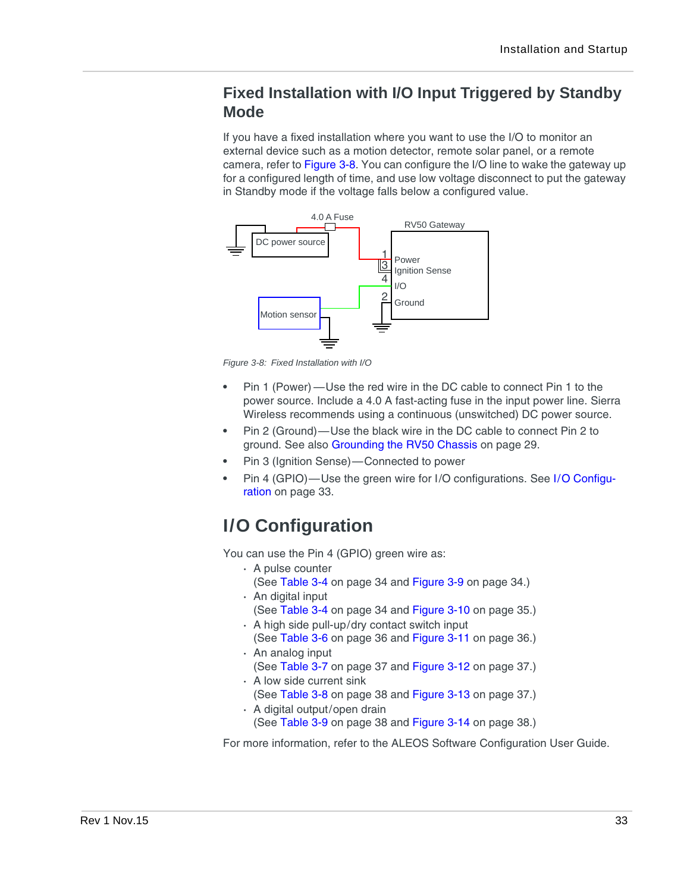## **Fixed Installation with I/O Input Triggered by Standby Mode**

If you have a fixed installation where you want to use the I/O to monitor an external device such as a motion detector, remote solar panel, or a remote camera, refer to [Figure 3-8.](#page-3-2) You can configure the I/O line to wake the gateway up for a configured length of time, and use low voltage disconnect to put the gateway in Standby mode if the voltage falls below a configured value.



<span id="page-3-2"></span>*Figure 3-8: Fixed Installation with I/O*

- **•** Pin 1 (Power) —Use the red wire in the DC cable to connect Pin 1 to the power source. Include a 4.0 A fast-acting fuse in the input power line. Sierra Wireless recommends using a continuous (unswitched) DC power source.
- **•** Pin 2 (Ground)—Use the black wire in the DC cable to connect Pin 2 to ground. See also [Grounding the RV50 Chassis on page 29.](#page--1-0)
- **•** Pin 3 (Ignition Sense)—Connected to power
- <span id="page-3-0"></span>**•** Pin 4 (GPIO)—Use the green wire for I/O configurations. See [I/O Configu](#page-3-1)[ration on page 33.](#page-3-1)

# <span id="page-3-1"></span>**I/O Configuration**

You can use the Pin 4 (GPIO) green wire as:

- **·** A pulse counter (See [Table 3-4 on page 34](#page-4-0) and [Figure 3-9 on page 34](#page-4-1).)
- **·** An digital input
- (See [Table 3-4 on page 34](#page-4-0) and [Figure 3-10 on page 35](#page-5-0).)
- **·** A high side pull-up/dry contact switch input
- (See [Table 3-6 on page 36](#page-6-0) and [Figure 3-11 on page 36](#page-6-1).) **·** An analog input
- (See [Table 3-7 on page 37](#page-7-0) and [Figure 3-12 on page 37](#page-7-2).)
- **·** A low side current sink (See [Table 3-8 on page 38](#page-8-0) and [Figure 3-13 on page 37](#page-7-1).)
- **·** A digital output/open drain (See [Table 3-9 on page 38](#page-8-1) and [Figure 3-14 on page 38](#page-8-2).)

For more information, refer to the ALEOS Software Configuration User Guide.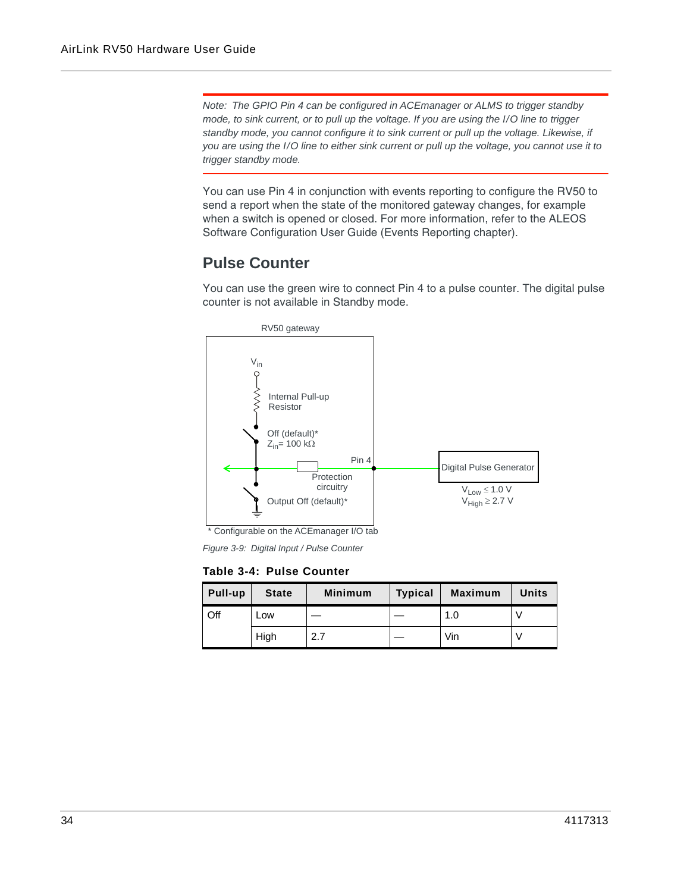*Note: The GPIO Pin 4 can be configured in ACEmanager or ALMS to trigger standby mode, to sink current, or to pull up the voltage. If you are using the I/O line to trigger standby mode, you cannot configure it to sink current or pull up the voltage. Likewise, if you are using the I/O line to either sink current or pull up the voltage, you cannot use it to trigger standby mode.*

You can use Pin 4 in conjunction with events reporting to configure the RV50 to send a report when the state of the monitored gateway changes, for example when a switch is opened or closed. For more information, refer to the ALEOS Software Configuration User Guide (Events Reporting chapter).

#### **Pulse Counter**

You can use the green wire to connect Pin 4 to a pulse counter. The digital pulse counter is not available in Standby mode.



Configurable on the ACEmanager I/O tab

<span id="page-4-1"></span>*Figure 3-9: Digital Input / Pulse Counter*

#### <span id="page-4-0"></span>**Table 3-4: Pulse Counter**

| Pull-up | <b>State</b> | <b>Minimum</b> | <b>Typical</b> | <b>Maximum</b> | <b>Units</b> |
|---------|--------------|----------------|----------------|----------------|--------------|
| Off     | Low          |                |                | 1.0            |              |
|         | High         | 2.7            |                | Vin            |              |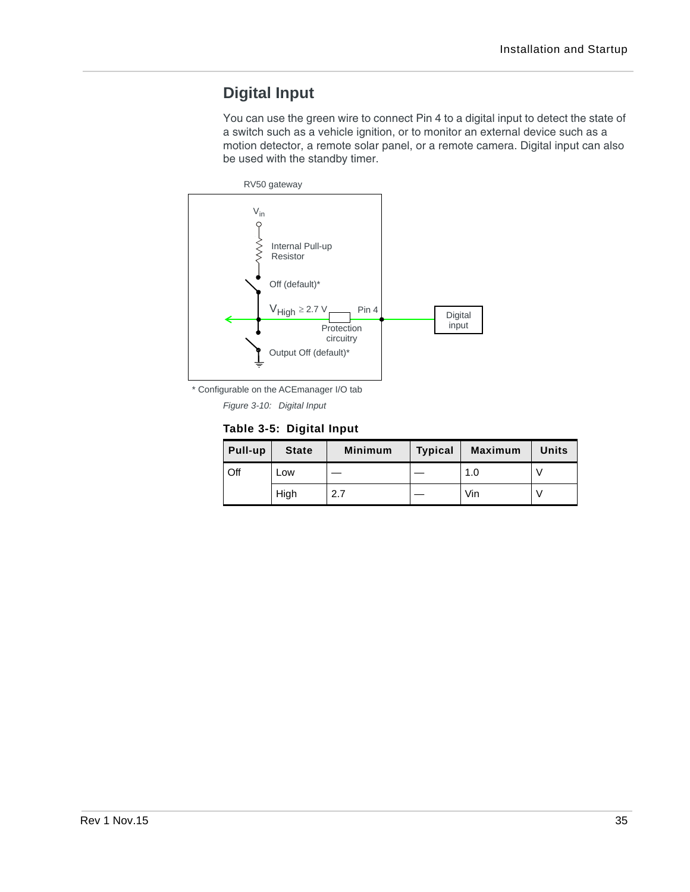## **Digital Input**

You can use the green wire to connect Pin 4 to a digital input to detect the state of a switch such as a vehicle ignition, or to monitor an external device such as a motion detector, a remote solar panel, or a remote camera. Digital input can also be used with the standby timer.



\* Configurable on the ACEmanager I/O tab

<span id="page-5-0"></span>*Figure 3-10: Digital Input*

#### **Table 3-5: Digital Input**

| Pull-up | <b>State</b> | <b>Minimum</b> | <b>Typical</b> | <b>Maximum</b> | Units |
|---------|--------------|----------------|----------------|----------------|-------|
| Off     | Low          |                |                | 1.0            |       |
|         | High         | 2.7            |                | Vin            |       |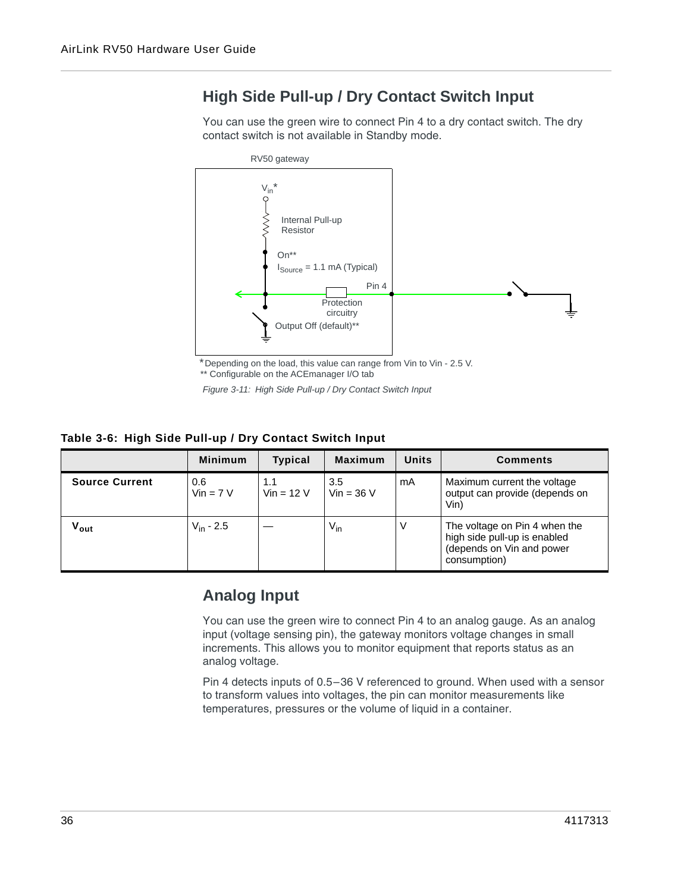## **High Side Pull-up / Dry Contact Switch Input**

You can use the green wire to connect Pin 4 to a dry contact switch. The dry contact switch is not available in Standby mode.



Depending on the load, this value can range from Vin to Vin - 2.5 V. \*\* Configurable on the ACEmanager I/O tab

<span id="page-6-1"></span>*Figure 3-11: High Side Pull-up / Dry Contact Switch Input*

#### <span id="page-6-0"></span>**Table 3-6: High Side Pull-up / Dry Contact Switch Input**

|                           | <b>Minimum</b>     | <b>Typical</b>      | <b>Maximum</b>      | <b>Units</b> | <b>Comments</b>                                                                                            |
|---------------------------|--------------------|---------------------|---------------------|--------------|------------------------------------------------------------------------------------------------------------|
| <b>Source Current</b>     | 0.6<br>$Vin = 7 V$ | 1.1<br>$Vin = 12 V$ | 3.5<br>$Vir = 36 V$ | mA           | Maximum current the voltage<br>output can provide (depends on<br>Vin)                                      |
| $\mathsf{v}_\mathsf{out}$ | $V_{in} - 2.5$     |                     | $V_{in}$            | V            | The voltage on Pin 4 when the<br>high side pull-up is enabled<br>(depends on Vin and power<br>consumption) |

#### **Analog Input**

You can use the green wire to connect Pin 4 to an analog gauge. As an analog input (voltage sensing pin), the gateway monitors voltage changes in small increments. This allows you to monitor equipment that reports status as an analog voltage.

Pin 4 detects inputs of 0.5–36 V referenced to ground. When used with a sensor to transform values into voltages, the pin can monitor measurements like temperatures, pressures or the volume of liquid in a container.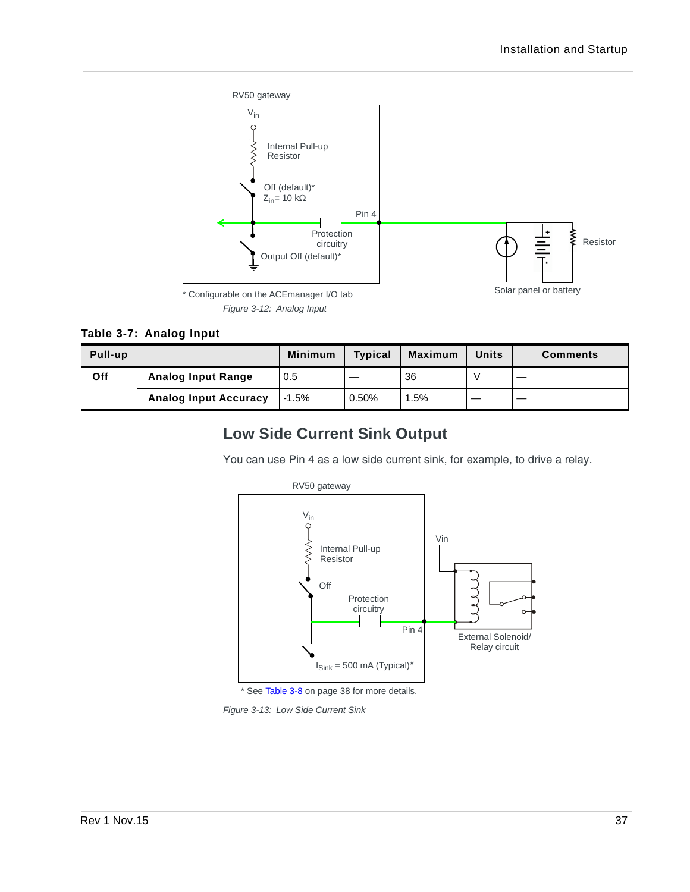

<span id="page-7-0"></span>**Table 3-7: Analog Input**

| <b>Pull-up</b> |                              | <b>Minimum</b> | <b>Typical</b> | <b>Maximum</b> | <b>Units</b> | <b>Comments</b> |
|----------------|------------------------------|----------------|----------------|----------------|--------------|-----------------|
| Off            | <b>Analog Input Range</b>    | 0.5            |                | 36             |              |                 |
|                | <b>Analog Input Accuracy</b> | $-1.5%$        | 0.50%          | .5%            |              |                 |

### <span id="page-7-2"></span>**Low Side Current Sink Output**

You can use Pin 4 as a low side current sink, for example, to drive a relay.



\* See [Table 3-8 on page 38](#page-8-0) for more details.

<span id="page-7-1"></span>*Figure 3-13: Low Side Current Sink*